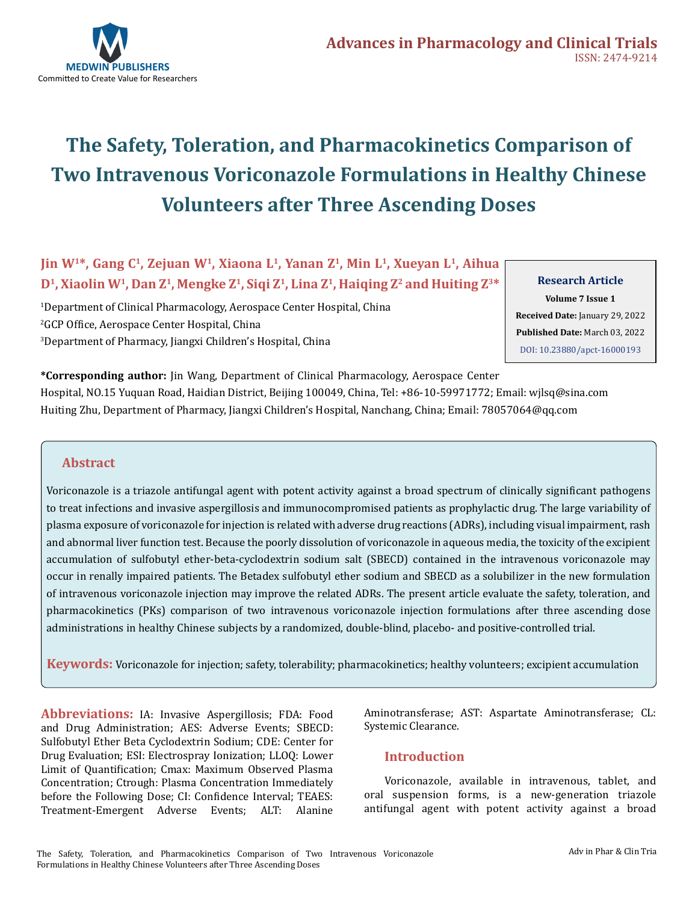

# **The Safety, Toleration, and Pharmacokinetics Comparison of Two Intravenous Voriconazole Formulations in Healthy Chinese Volunteers after Three Ascending Doses**

**Jin W1\*, Gang C1, Zejuan W1, Xiaona L1, Yanan Z1, Min L1, Xueyan L1, Aihua D1, Xiaolin W1, Dan Z1, Mengke Z1, Siqi Z1, Lina Z1, Haiqing Z2 and Huiting Z3\*** 

1 Department of Clinical Pharmacology, Aerospace Center Hospital, China 2 GCP Office, Aerospace Center Hospital, China 3 Department of Pharmacy, Jiangxi Children's Hospital, China

**Research Article Volume 7 Issue 1 Received Date:** January 29, 2022 **Published Date:** March 03, 2022 [DOI: 10.23880/apct-16000193](https://doi.org/10.23880/apct-16000193)

**\*Corresponding author:** Jin Wang, Department of Clinical Pharmacology, Aerospace Center Hospital, NO.15 Yuquan Road, Haidian District, Beijing 100049, China, Tel: +86-10-59971772; Email: wjlsq@sina.com Huiting Zhu, Department of Pharmacy, Jiangxi Children's Hospital, Nanchang, China; Email: 78057064@qq.com

#### **Abstract**

Voriconazole is a triazole antifungal agent with potent activity against a broad spectrum of clinically significant pathogens to treat infections and invasive aspergillosis and immunocompromised patients as prophylactic drug. The large variability of plasma exposure of voriconazole for injection is related with adverse drug reactions (ADRs), including visual impairment, rash and abnormal liver function test. Because the poorly dissolution of voriconazole in aqueous media, the toxicity of the excipient accumulation of sulfobutyl ether-beta-cyclodextrin sodium salt (SBECD) contained in the intravenous voriconazole may occur in renally impaired patients. The Betadex sulfobutyl ether sodium and SBECD as a solubilizer in the new formulation of intravenous voriconazole injection may improve the related ADRs. The present article evaluate the safety, toleration, and pharmacokinetics (PKs) comparison of two intravenous voriconazole injection formulations after three ascending dose administrations in healthy Chinese subjects by a randomized, double-blind, placebo- and positive-controlled trial.

**Keywords:** Voriconazole for injection; safety, tolerability; pharmacokinetics; healthy volunteers; excipient accumulation

**Abbreviations:** IA: Invasive Aspergillosis; FDA: Food and Drug Administration; AES: Adverse Events; SBECD: Sulfobutyl Ether Beta Cyclodextrin Sodium; CDE: Center for Drug Evaluation; ESI: Electrospray Ionization; LLOQ: Lower Limit of Quantification; Cmax: Maximum Observed Plasma Concentration; Ctrough: Plasma Concentration Immediately before the Following Dose; CI: Confidence Interval; TEAES: Treatment-Emergent Adverse Events; ALT: Alanine

Aminotransferase; AST: Aspartate Aminotransferase; CL: Systemic Clearance.

#### **Introduction**

Voriconazole, available in intravenous, tablet, and oral suspension forms, is a new-generation triazole antifungal agent with potent activity against a broad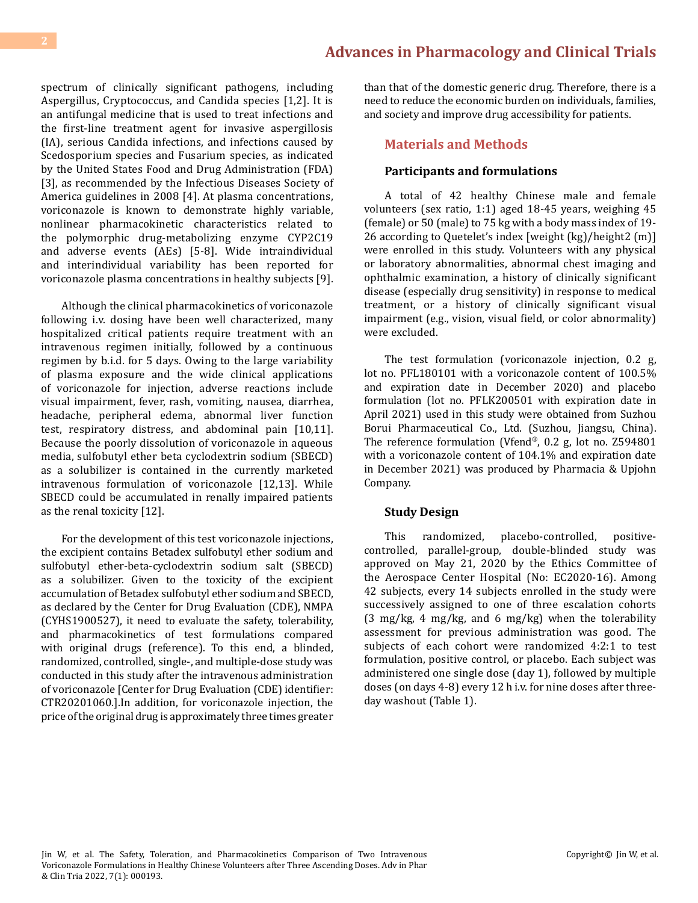spectrum of clinically significant pathogens, including Aspergillus, Cryptococcus, and Candida species [1,2]. It is an antifungal medicine that is used to treat infections and the first-line treatment agent for invasive aspergillosis (IA), serious Candida infections, and infections caused by Scedosporium species and Fusarium species, as indicated by the United States Food and Drug Administration (FDA) [3], as recommended by the Infectious Diseases Society of America guidelines in 2008 [4]. At plasma concentrations, voriconazole is known to demonstrate highly variable, nonlinear pharmacokinetic characteristics related to the polymorphic drug-metabolizing enzyme CYP2C19 and adverse events (AEs) [5-8]. Wide intraindividual and interindividual variability has been reported for voriconazole plasma concentrations in healthy subjects [9].

Although the clinical pharmacokinetics of voriconazole following i.v. dosing have been well characterized, many hospitalized critical patients require treatment with an intravenous regimen initially, followed by a continuous regimen by b.i.d. for 5 days. Owing to the large variability of plasma exposure and the wide clinical applications of voriconazole for injection, adverse reactions include visual impairment, fever, rash, vomiting, nausea, diarrhea, headache, peripheral edema, abnormal liver function test, respiratory distress, and abdominal pain [10,11]. Because the poorly dissolution of voriconazole in aqueous media, sulfobutyl ether beta cyclodextrin sodium (SBECD) as a solubilizer is contained in the currently marketed intravenous formulation of voriconazole [12,13]. While SBECD could be accumulated in renally impaired patients as the renal toxicity [12].

For the development of this test voriconazole injections, the excipient contains Betadex sulfobutyl ether sodium and sulfobutyl ether-beta-cyclodextrin sodium salt (SBECD) as a solubilizer. Given to the toxicity of the excipient accumulation of Betadex sulfobutyl ether sodium and SBECD, as declared by the Center for Drug Evaluation (CDE), NMPA (CYHS1900527), it need to evaluate the safety, tolerability, and pharmacokinetics of test formulations compared with original drugs (reference). To this end, a blinded, randomized, controlled, single-, and multiple-dose study was conducted in this study after the intravenous administration of voriconazole [Center for Drug Evaluation (CDE) identifier: CTR20201060.].In addition, for voriconazole injection, the price of the original drug is approximately three times greater

than that of the domestic generic drug. Therefore, there is a need to reduce the economic burden on individuals, families, and society and improve drug accessibility for patients.

#### **Materials and Methods**

#### **Participants and formulations**

A total of 42 healthy Chinese male and female volunteers (sex ratio, 1:1) aged 18-45 years, weighing 45 (female) or 50 (male) to 75 kg with a body mass index of 19- 26 according to Quetelet's index [weight (kg)/height2 (m)] were enrolled in this study. Volunteers with any physical or laboratory abnormalities, abnormal chest imaging and ophthalmic examination, a history of clinically significant disease (especially drug sensitivity) in response to medical treatment, or a history of clinically significant visual impairment (e.g., vision, visual field, or color abnormality) were excluded.

The test formulation (voriconazole injection, 0.2 g, lot no. PFL180101 with a voriconazole content of 100.5% and expiration date in December 2020) and placebo formulation (lot no. PFLK200501 with expiration date in April 2021) used in this study were obtained from Suzhou Borui Pharmaceutical Co., Ltd. (Suzhou, Jiangsu, China). The reference formulation (Vfend®, 0.2 g, lot no. Z594801 with a voriconazole content of 104.1% and expiration date in December 2021) was produced by Pharmacia & Upjohn Company.

#### **Study Design**

This randomized, placebo-controlled, positivecontrolled, parallel-group, double-blinded study was approved on May 21, 2020 by the Ethics Committee of the Aerospace Center Hospital (No: EC2020-16). Among 42 subjects, every 14 subjects enrolled in the study were successively assigned to one of three escalation cohorts (3 mg/kg, 4 mg/kg, and 6 mg/kg) when the tolerability assessment for previous administration was good. The subjects of each cohort were randomized 4:2:1 to test formulation, positive control, or placebo. Each subject was administered one single dose (day 1), followed by multiple doses (on days 4-8) every 12 h i.v. for nine doses after threeday washout (Table 1).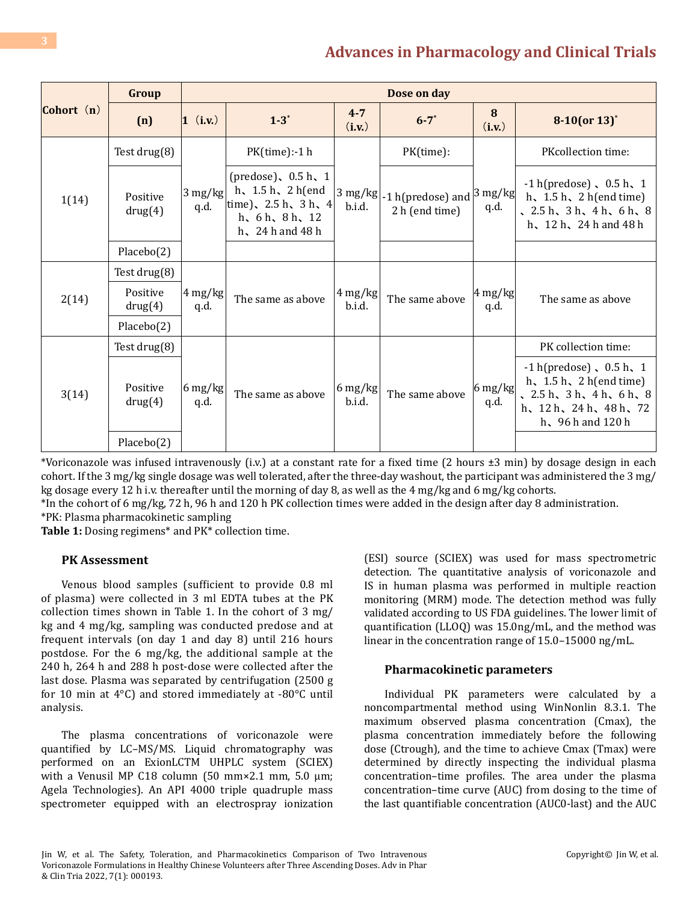| Cohort $(n)$<br>1(14) | Group                                            |                           | Dose on day                                                                                                              |                                           |                                                         |                                         |                                                                                                                                                          |  |  |  |
|-----------------------|--------------------------------------------------|---------------------------|--------------------------------------------------------------------------------------------------------------------------|-------------------------------------------|---------------------------------------------------------|-----------------------------------------|----------------------------------------------------------------------------------------------------------------------------------------------------------|--|--|--|
|                       | (n)                                              | $1$ (i.v.)                | $1 - 3^*$                                                                                                                | $4 - 7$<br>(i.v.)                         | $6 - 7^*$                                               | 8<br>(i.v.)                             | $8-10$ (or $13$ ) <sup>*</sup>                                                                                                                           |  |  |  |
|                       | Test drug(8)                                     |                           | PK(time):-1 h                                                                                                            |                                           | PK(time):                                               |                                         | PKcollection time:                                                                                                                                       |  |  |  |
|                       | Positive<br>drug(4)                              | $3 \text{ mg/kg}$<br>q.d. | (predose), $0.5 h$ , 1<br>h, $1.5 h$ , $2 h(end)$<br>time), $2.5 h$ , $3 h$ , $4$<br>h, 6h, 8h, 12<br>h, $24h$ and $48h$ | $3 \text{ mg/kg}$<br>b.i.d.               | -1 h(predose) and $ 3 \text{ mg/kg} $<br>2 h (end time) | q.d.                                    | $-1$ h(predose), $0.5$ h, $1$<br>h, $1.5 h$ , $2 h(end time)$<br>$\sqrt{2.5h}$ , 3h, 4h, 6h, 8<br>h, $12 h$ , $24 h$ and $48 h$                          |  |  |  |
|                       | Placebo(2)                                       |                           |                                                                                                                          |                                           |                                                         |                                         |                                                                                                                                                          |  |  |  |
|                       | Test drug(8)                                     |                           |                                                                                                                          | $4 \frac{\text{mg}}{\text{kg}}$<br>b.i.d. |                                                         | $4 \text{ mg/kg}$<br>q.d.               | The same as above                                                                                                                                        |  |  |  |
| 2(14)                 | Positive<br>drug(4)                              | $4 \text{ mg/kg}$<br>q.d. | The same as above                                                                                                        |                                           | The same above                                          |                                         |                                                                                                                                                          |  |  |  |
|                       | Placebo(2)                                       |                           |                                                                                                                          |                                           |                                                         |                                         |                                                                                                                                                          |  |  |  |
|                       | Test drug(8)                                     |                           |                                                                                                                          |                                           |                                                         |                                         | PK collection time:                                                                                                                                      |  |  |  |
| 3(14)                 | Positive<br>$6 \text{ mg/kg}$<br>q.d.<br>drug(4) |                           | The same as above                                                                                                        | 6 mg/kg<br>b.i.d.                         | The same above                                          | $6 \frac{\text{mg}}{\text{kg}}$<br>q.d. | $-1$ h(predose), $0.5$ h, $1$<br>h, $1.5 h$ , $2 h(end time)$<br>$2.5 h$ , $3 h$ , $4 h$ , $6 h$ , $8$<br>h, 12 h, 24 h, 48 h, 72<br>h, $96h$ and $120h$ |  |  |  |
|                       | Placebo(2)                                       |                           |                                                                                                                          |                                           |                                                         |                                         |                                                                                                                                                          |  |  |  |

\*Voriconazole was infused intravenously (i.v.) at a constant rate for a fixed time (2 hours ±3 min) by dosage design in each cohort. If the 3 mg/kg single dosage was well tolerated, after the three-day washout, the participant was administered the 3 mg/ kg dosage every 12 h i.v. thereafter until the morning of day 8, as well as the 4 mg/kg and 6 mg/kg cohorts.

\*In the cohort of 6 mg/kg, 72 h, 96 h and 120 h PK collection times were added in the design after day 8 administration. \*PK: Plasma pharmacokinetic sampling

**Table 1:** Dosing regimens\* and PK\* collection time.

#### **PK Assessment**

Venous blood samples (sufficient to provide 0.8 ml of plasma) were collected in 3 ml EDTA tubes at the PK collection times shown in Table 1. In the cohort of 3 mg/ kg and 4 mg/kg, sampling was conducted predose and at frequent intervals (on day 1 and day 8) until 216 hours postdose. For the 6 mg/kg, the additional sample at the 240 h, 264 h and 288 h post-dose were collected after the last dose. Plasma was separated by centrifugation (2500 g for 10 min at 4°C) and stored immediately at -80°C until analysis.

The plasma concentrations of voriconazole were quantified by LC–MS/MS. Liquid chromatography was performed on an ExionLCTM UHPLC system (SCIEX) with a Venusil MP C18 column (50 mm $\times$ 2.1 mm, 5.0 µm; Agela Technologies). An API 4000 triple quadruple mass spectrometer equipped with an electrospray ionization

(ESI) source (SCIEX) was used for mass spectrometric detection. The quantitative analysis of voriconazole and IS in human plasma was performed in multiple reaction monitoring (MRM) mode. The detection method was fully validated according to US FDA guidelines. The lower limit of quantification (LLOQ) was 15.0ng/mL, and the method was linear in the concentration range of 15.0–15000 ng/mL.

#### **Pharmacokinetic parameters**

Individual PK parameters were calculated by a noncompartmental method using WinNonlin 8.3.1. The maximum observed plasma concentration (Cmax), the plasma concentration immediately before the following dose (Ctrough), and the time to achieve Cmax (Tmax) were determined by directly inspecting the individual plasma concentration–time profiles. The area under the plasma concentration–time curve (AUC) from dosing to the time of the last quantifiable concentration (AUC0-last) and the AUC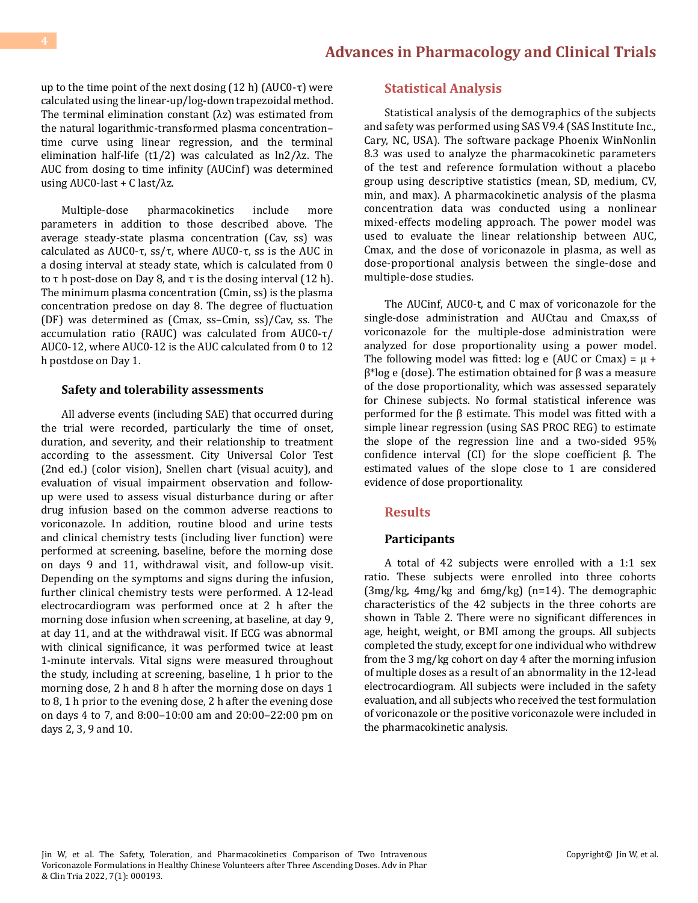up to the time point of the next dosing  $(12 h)$  (AUC0- $\tau$ ) were calculated using the linear-up/log-down trapezoidal method. The terminal elimination constant  $(\lambda z)$  was estimated from the natural logarithmic-transformed plasma concentration– time curve using linear regression, and the terminal elimination half-life (t1/2) was calculated as  $\ln 2/\lambda z$ . The AUC from dosing to time infinity (AUCinf) was determined using  $AUC0$ -last + C last/ $\lambda$ z.

Multiple-dose pharmacokinetics include more parameters in addition to those described above. The average steady-state plasma concentration (Cav, ss) was calculated as AUC0-τ, ss/τ, where AUC0-τ, ss is the AUC in a dosing interval at steady state, which is calculated from 0 to  $\tau$  h post-dose on Day 8, and  $\tau$  is the dosing interval (12 h). The minimum plasma concentration (Cmin, ss) is the plasma concentration predose on day 8. The degree of fluctuation (DF) was determined as (Cmax, ss–Cmin, ss)/Cav, ss. The accumulation ratio (RAUC) was calculated from AUC0-τ/ AUC0-12, where AUC0-12 is the AUC calculated from 0 to 12 h postdose on Day 1.

#### **Safety and tolerability assessments**

All adverse events (including SAE) that occurred during the trial were recorded, particularly the time of onset, duration, and severity, and their relationship to treatment according to the assessment. City Universal Color Test (2nd ed.) (color vision), Snellen chart (visual acuity), and evaluation of visual impairment observation and followup were used to assess visual disturbance during or after drug infusion based on the common adverse reactions to voriconazole. In addition, routine blood and urine tests and clinical chemistry tests (including liver function) were performed at screening, baseline, before the morning dose on days 9 and 11, withdrawal visit, and follow-up visit. Depending on the symptoms and signs during the infusion, further clinical chemistry tests were performed. A 12-lead electrocardiogram was performed once at 2 h after the morning dose infusion when screening, at baseline, at day 9, at day 11, and at the withdrawal visit. If ECG was abnormal with clinical significance, it was performed twice at least 1-minute intervals. Vital signs were measured throughout the study, including at screening, baseline, 1 h prior to the morning dose, 2 h and 8 h after the morning dose on days 1 to 8, 1 h prior to the evening dose, 2 h after the evening dose on days 4 to 7, and 8:00‒10:00 am and 20:00‒22:00 pm on days 2, 3, 9 and 10.

#### **Statistical Analysis**

Statistical analysis of the demographics of the subjects and safety was performed using SAS V9.4 (SAS Institute Inc., Cary, NC, USA). The software package Phoenix WinNonlin 8.3 was used to analyze the pharmacokinetic parameters of the test and reference formulation without a placebo group using descriptive statistics (mean, SD, medium, CV, min, and max). A pharmacokinetic analysis of the plasma concentration data was conducted using a nonlinear mixed-effects modeling approach. The power model was used to evaluate the linear relationship between AUC, Cmax, and the dose of voriconazole in plasma, as well as dose-proportional analysis between the single-dose and multiple-dose studies.

The AUCinf, AUC0-t, and C max of voriconazole for the single-dose administration and AUCtau and Cmax,ss of voriconazole for the multiple-dose administration were analyzed for dose proportionality using a power model. The following model was fitted:  $log e$  (AUC or Cmax) =  $\mu$  + β\*log e (dose). The estimation obtained for β was a measure of the dose proportionality, which was assessed separately for Chinese subjects. No formal statistical inference was performed for the β estimate. This model was fitted with a simple linear regression (using SAS PROC REG) to estimate the slope of the regression line and a two-sided 95% confidence interval (CI) for the slope coefficient β. The estimated values of the slope close to 1 are considered evidence of dose proportionality.

#### **Results**

#### **Participants**

A total of 42 subjects were enrolled with a 1:1 sex ratio. These subjects were enrolled into three cohorts (3mg/kg, 4mg/kg and 6mg/kg) (n=14). The demographic characteristics of the 42 subjects in the three cohorts are shown in Table 2. There were no significant differences in age, height, weight, or BMI among the groups. All subjects completed the study, except for one individual who withdrew from the 3 mg/kg cohort on day 4 after the morning infusion of multiple doses as a result of an abnormality in the 12-lead electrocardiogram. All subjects were included in the safety evaluation, and all subjects who received the test formulation of voriconazole or the positive voriconazole were included in the pharmacokinetic analysis.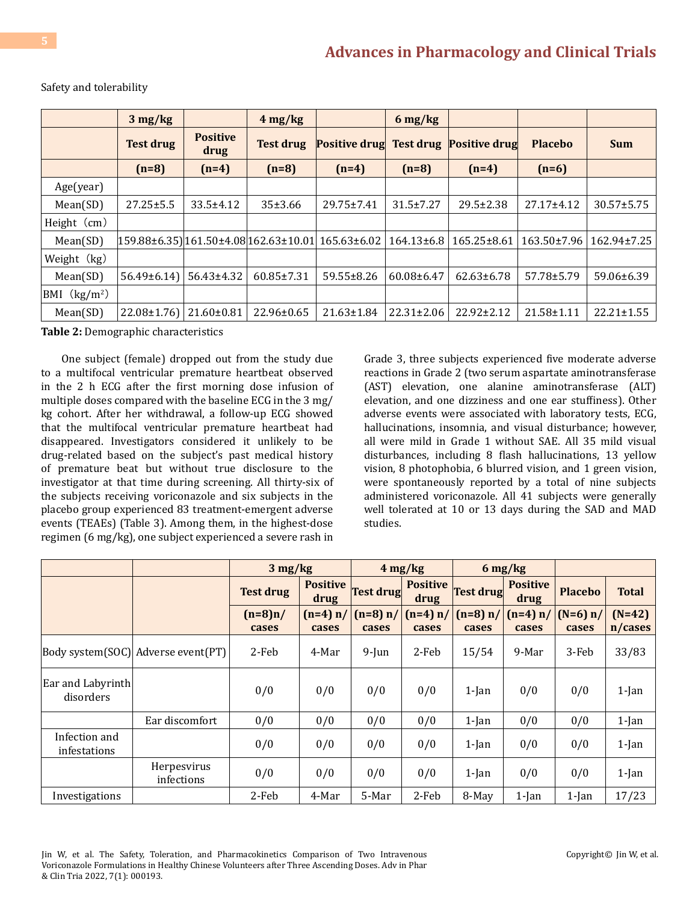|                          | $3 \frac{\text{mg}}{\text{kg}}$ |                         | $4 \text{ mg/kg}$                                 |                      | $6 \frac{\text{mg}}{\text{kg}}$ |                      |                |                  |
|--------------------------|---------------------------------|-------------------------|---------------------------------------------------|----------------------|---------------------------------|----------------------|----------------|------------------|
|                          | <b>Test drug</b>                | <b>Positive</b><br>drug | <b>Test drug</b>                                  | <b>Positive drug</b> | <b>Test drug</b>                | <b>Positive drug</b> | <b>Placebo</b> | <b>Sum</b>       |
|                          | $(n=8)$                         | $(n=4)$                 | $(n=8)$                                           | $(n=4)$              | $(n=8)$                         | $(n=4)$              | $(n=6)$        |                  |
| Age(year)                |                                 |                         |                                                   |                      |                                 |                      |                |                  |
| Mean(SD)                 | $27.25 \pm 5.5$                 | $33.5 \pm 4.12$         | 35±3.66                                           | 29.75±7.41           | $31.5 \pm 7.27$                 | $29.5 \pm 2.38$      | 27.17±4.12     | $30.57 \pm 5.75$ |
| Height (cm)              |                                 |                         |                                                   |                      |                                 |                      |                |                  |
| Mean(SD)                 |                                 |                         | 159.88±6.35) 161.50±4.08 162.63±10.01 165.63±6.02 |                      | $164.13\pm 6.8$                 | 165.25±8.61          | 163.50±7.96    | 162.94±7.25      |
| Weight (kg)              |                                 |                         |                                                   |                      |                                 |                      |                |                  |
| Mean(SD)                 | $56.49\pm 6.14$                 | 56.43±4.32              | 60.85±7.31                                        | 59.55±8.26           | 60.08±6.47                      | $62.63 \pm 6.78$     | 57.78±5.79     | 59.06±6.39       |
| BMI (kg/m <sup>2</sup> ) |                                 |                         |                                                   |                      |                                 |                      |                |                  |
| Mean(SD)                 | $22.08 \pm 1.76$                | 21.60±0.81              | $22.96 \pm 0.65$                                  | 21.63±1.84           | $22.31 \pm 2.06$                | 22.92±2.12           | 21.58±1.11     | $22.21 \pm 1.55$ |

#### Safety and tolerability

**Table 2:** Demographic characteristics

One subject (female) dropped out from the study due to a multifocal ventricular premature heartbeat observed in the 2 h ECG after the first morning dose infusion of multiple doses compared with the baseline ECG in the 3 mg/ kg cohort. After her withdrawal, a follow-up ECG showed that the multifocal ventricular premature heartbeat had disappeared. Investigators considered it unlikely to be drug-related based on the subject's past medical history of premature beat but without true disclosure to the investigator at that time during screening. All thirty-six of the subjects receiving voriconazole and six subjects in the placebo group experienced 83 treatment-emergent adverse events (TEAEs) (Table 3). Among them, in the highest-dose regimen (6 mg/kg), one subject experienced a severe rash in Grade 3, three subjects experienced five moderate adverse reactions in Grade 2 (two serum aspartate aminotransferase (AST) elevation, one alanine aminotransferase (ALT) elevation, and one dizziness and one ear stuffiness). Other adverse events were associated with laboratory tests, ECG, hallucinations, insomnia, and visual disturbance; however, all were mild in Grade 1 without SAE. All 35 mild visual disturbances, including 8 flash hallucinations, 13 yellow vision, 8 photophobia, 6 blurred vision, and 1 green vision, were spontaneously reported by a total of nine subjects administered voriconazole. All 41 subjects were generally well tolerated at 10 or 13 days during the SAD and MAD studies.

|                                |                                    | $3 \text{ mg/kg}$ |                         |                  | $4 \text{ mg/kg}$       |            | $6 \frac{\text{mg}}{\text{kg}}$ |                |              |
|--------------------------------|------------------------------------|-------------------|-------------------------|------------------|-------------------------|------------|---------------------------------|----------------|--------------|
|                                |                                    | <b>Test drug</b>  | <b>Positive</b><br>drug | <b>Test drug</b> | <b>Positive</b><br>drug | Test drug  | <b>Positive</b><br>drug         | <b>Placebo</b> | <b>Total</b> |
|                                |                                    | $(n=8)n/$         | $(n=4) n/$              | $(n=8) n/$       | $(n=4) n/$              | $(n=8) n/$ | $(n=4) n/$                      | $(N=6) n/$     | $(N=42)$     |
|                                |                                    | cases             | cases                   | cases            | cases                   | cases      | cases                           | cases          | n/cases      |
|                                | Body system(SOC) Adverse event(PT) | 2-Feb             | 4-Mar                   | $9$ -Jun         | 2-Feb                   | 15/54      | 9-Mar                           | 3-Feb          | 33/83        |
| Ear and Labyrinth<br>disorders |                                    | 0/0               | 0/0                     | 0/0              | 0/0                     | $1$ -Jan   | 0/0                             | 0/0            | $1$ -Jan     |
|                                | Ear discomfort                     | 0/0               | 0/0                     | 0/0              | 0/0                     | $1$ -Jan   | 0/0                             | 0/0            | $1$ -Jan     |
| Infection and<br>infestations  |                                    | 0/0               | 0/0                     | 0/0              | 0/0                     | $1$ -Jan   | 0/0                             | 0/0            | $1$ -Jan     |
|                                | Herpesvirus<br>infections          | 0/0               | 0/0                     | 0/0              | 0/0                     | $1$ -Jan   | 0/0                             | 0/0            | $1$ -Jan     |
| Investigations                 |                                    | 2-Feb             | 4-Mar                   | 5-Mar            | 2-Feb                   | 8-May      | $1$ -Jan                        | $1$ -Jan       | 17/23        |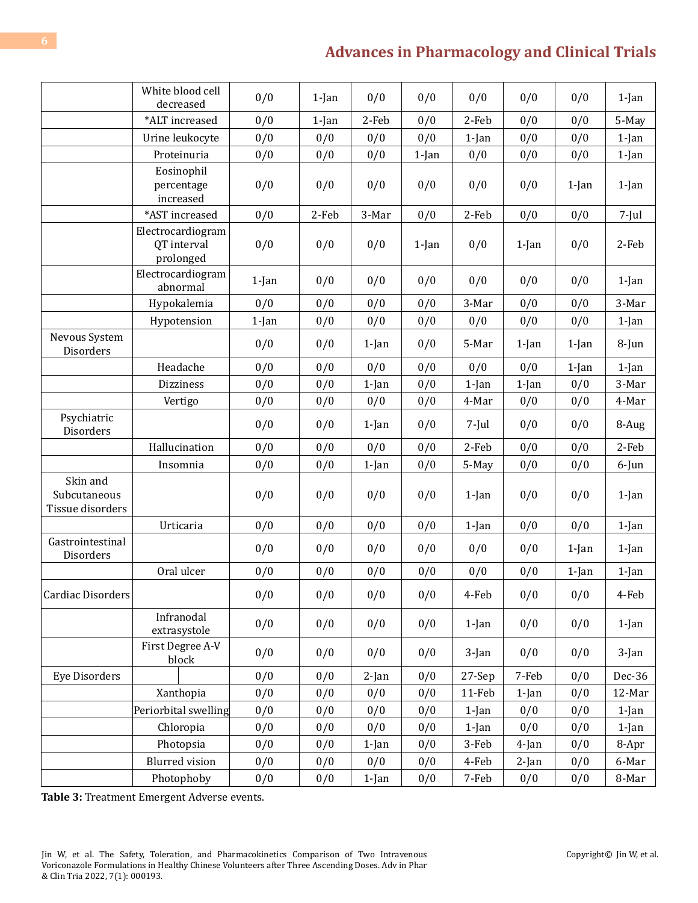|                                              | White blood cell<br>decreased                 | 0/0      | $1$ -Jan | 0/0      | 0/0      | 0/0      | 0/0      | 0/0      | $1$ -Jan |
|----------------------------------------------|-----------------------------------------------|----------|----------|----------|----------|----------|----------|----------|----------|
|                                              | *ALT increased                                | 0/0      | $1$ -Jan | 2-Feb    | 0/0      | 2-Feb    | 0/0      | 0/0      | 5-May    |
|                                              | Urine leukocyte                               | 0/0      | 0/0      | 0/0      | 0/0      | $1$ -Jan | 0/0      | 0/0      | $1$ -Jan |
|                                              | Proteinuria                                   | 0/0      | 0/0      | 0/0      | $1$ -Jan | 0/0      | 0/0      | 0/0      | $1$ -Jan |
|                                              | Eosinophil<br>percentage<br>increased         | 0/0      | 0/0      | 0/0      | 0/0      | 0/0      | 0/0      | $1$ -Jan | $1$ -Jan |
|                                              | *AST increased                                | 0/0      | 2-Feb    | 3-Mar    | 0/0      | 2-Feb    | 0/0      | 0/0      | $7$ -Jul |
|                                              | Electrocardiogram<br>QT interval<br>prolonged | 0/0      | 0/0      | 0/0      | $1$ -Jan | 0/0      | $1$ -Jan | 0/0      | 2-Feb    |
|                                              | Electrocardiogram<br>abnormal                 | $1$ -Jan | 0/0      | 0/0      | 0/0      | 0/0      | 0/0      | 0/0      | $1$ -Jan |
|                                              | Hypokalemia                                   | 0/0      | 0/0      | 0/0      | 0/0      | 3-Mar    | 0/0      | 0/0      | 3-Mar    |
|                                              | Hypotension                                   | $1$ -Jan | 0/0      | 0/0      | 0/0      | 0/0      | 0/0      | 0/0      | $1$ -Jan |
| Nevous System<br>Disorders                   |                                               | 0/0      | 0/0      | $1$ -Jan | 0/0      | 5-Mar    | $1$ -Jan | $1$ -Jan | $8$ -Jun |
|                                              | Headache                                      | 0/0      | 0/0      | 0/0      | 0/0      | 0/0      | 0/0      | $1$ -Jan | $1$ -Jan |
|                                              | <b>Dizziness</b>                              | 0/0      | 0/0      | $1$ -Jan | 0/0      | $1$ -Jan | $1$ -Jan | 0/0      | 3-Mar    |
|                                              | Vertigo                                       | 0/0      | 0/0      | 0/0      | 0/0      | 4-Mar    | 0/0      | 0/0      | 4-Mar    |
| Psychiatric<br>Disorders                     |                                               | 0/0      | 0/0      | $1$ -Jan | 0/0      | 7-Jul    | 0/0      | 0/0      | 8-Aug    |
|                                              | Hallucination                                 | 0/0      | 0/0      | 0/0      | 0/0      | 2-Feb    | 0/0      | 0/0      | 2-Feb    |
|                                              | Insomnia                                      | 0/0      | 0/0      | $1$ -Jan | 0/0      | 5-May    | 0/0      | 0/0      | 6-Jun    |
| Skin and<br>Subcutaneous<br>Tissue disorders |                                               | 0/0      | 0/0      | 0/0      | 0/0      | $1$ -Jan | 0/0      | 0/0      | $1$ -Jan |
|                                              | Urticaria                                     | 0/0      | 0/0      | 0/0      | 0/0      | 1-Jan    | 0/0      | 0/0      | $1$ -Jan |
| Gastrointestinal<br>Disorders                |                                               | 0/0      | 0/0      | 0/0      | 0/0      | 0/0      | 0/0      | $1$ -Jan | $1$ -Jan |
|                                              | Oral ulcer                                    | 0/0      | 0/0      | 0/0      | 0/0      | 0/0      | 0/0      | $1$ -Jan | $1$ -Jan |
| Cardiac Disorders                            |                                               | 0/0      | 0/0      | 0/0      | 0/0      | 4-Feb    | 0/0      | 0/0      | 4-Feb    |
|                                              | Infranodal<br>extrasystole                    | 0/0      | 0/0      | 0/0      | 0/0      | $1$ -Jan | 0/0      | 0/0      | $1$ -Jan |
|                                              | First Degree A-V<br>block                     | 0/0      | 0/0      | 0/0      | 0/0      | $3$ -Jan | 0/0      | 0/0      | $3$ -Jan |
| <b>Eye Disorders</b>                         |                                               | 0/0      | 0/0      | $2$ -Jan | 0/0      | 27-Sep   | 7-Feb    | 0/0      | Dec-36   |
|                                              | Xanthopia                                     | 0/0      | 0/0      | 0/0      | 0/0      | 11-Feb   | $1$ -Jan | 0/0      | 12-Mar   |
|                                              | Periorbital swelling                          | 0/0      | 0/0      | 0/0      | 0/0      | 1-Jan    | 0/0      | 0/0      | $1$ -Jan |
|                                              | Chloropia                                     | 0/0      | 0/0      | 0/0      | 0/0      | $1$ -Jan | 0/0      | 0/0      | $1$ -Jan |
|                                              | Photopsia                                     | 0/0      | 0/0      | $1$ -Jan | 0/0      | 3-Feb    | 4-Jan    | 0/0      | 8-Apr    |
|                                              | <b>Blurred</b> vision                         | 0/0      | 0/0      | 0/0      | 0/0      | 4-Feb    | 2-Jan    | 0/0      | 6-Mar    |
|                                              | Photophoby                                    | 0/0      | 0/0      | $1$ -Jan | 0/0      | 7-Feb    | 0/0      | 0/0      | 8-Mar    |

**Table 3:** Treatment Emergent Adverse events.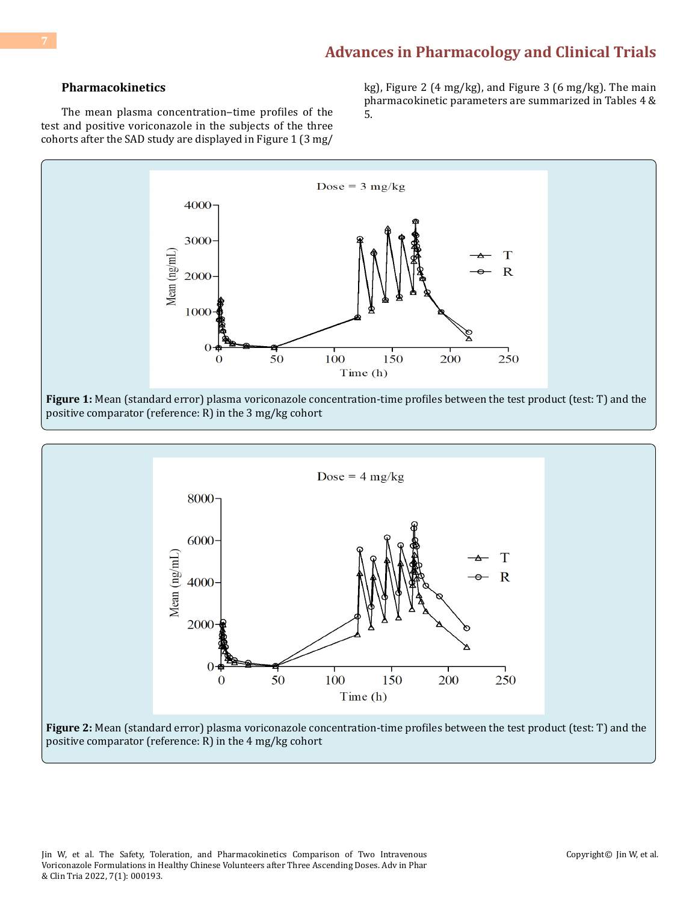#### **Pharmacokinetics**

The mean plasma concentration-time profiles of the test and positive voriconazole in the subjects of the three cohorts after the SAD study are displayed in Figure 1 (3 mg/ kg), Figure 2 (4 mg/kg), and Figure 3 (6 mg/kg). The main pharmacokinetic parameters are summarized in Tables 4 & 5.



Dose =  $4 \text{ mg/kg}$  $8000 -$ 6000 Mean  $(ng/mL)$ T  $\overline{R}$ 4000 2000 50 100 150 200 250  $\bf{0}$ Time (h) **Figure 2:** Mean (standard error) plasma voriconazole concentration-time profiles between the test product (test: T) and the positive comparator (reference: R) in the 4 mg/kg cohort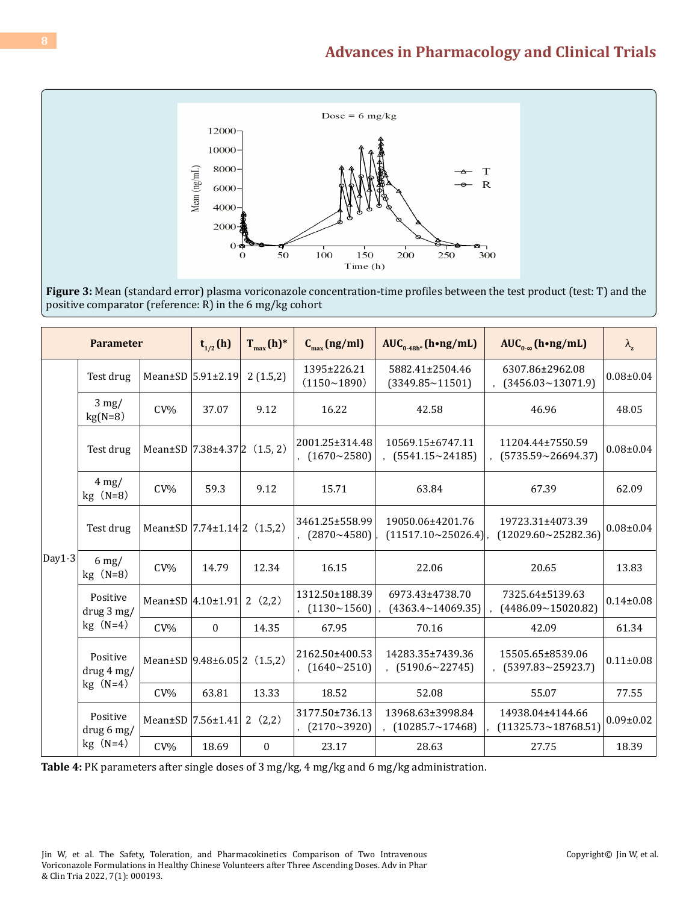

**Figure 3:** Mean (standard error) plasma voriconazole concentration-time profiles between the test product (test: T) and the positive comparator (reference: R) in the 6 mg/kg cohort

| <b>Parameter</b> |                                         | $t_{1/2}$ (h) | $T_{max}(h)^*$                           | $C_{\text{max}}(ng/ml)$ | AUC <sub>0-48h</sub> * (h•ng/mL)       | $AUC_{0,\infty}$ (h•ng/mL)                      | $\lambda_{\rm z}$                                |                 |
|------------------|-----------------------------------------|---------------|------------------------------------------|-------------------------|----------------------------------------|-------------------------------------------------|--------------------------------------------------|-----------------|
|                  | Test drug                               |               | Mean $\pm$ SD $ 5.91\pm2.19$             | 2(1.5,2)                | 1395±226.21<br>(1150~1890)             | 5882.41±2504.46<br>$(3349.85 \times 11501)$     | 6307.86±2962.08<br>$(3456.03 \times 13071.9)$    | $0.08 \pm 0.04$ |
| $Day1-3$         | $3 \text{ mg}$ /<br>$kg(N=8)$           | $CV\%$        | 37.07                                    | 9.12                    | 16.22                                  | 42.58                                           | 46.96                                            | 48.05           |
|                  | Test drug                               |               | Mean $\pm$ SD 7.38 $\pm$ 4.37 2 (1.5, 2) |                         | 2001.25±314.48<br>$(1670 \times 2580)$ | 10569.15±6747.11<br>$(5541.15 \times 24185)$    | 11204.44±7550.59<br>(5735.59~26694.37)           | $0.08 \pm 0.04$ |
|                  | $4 \text{ mg}$ /<br>$CV\%$<br>$kg(N=8)$ |               | 59.3                                     | 9.12                    | 15.71                                  | 63.84                                           | 67.39                                            | 62.09           |
|                  | Test drug                               |               | Mean $\pm$ SD 7.74 $\pm$ 1.14 2 (1.5,2)  |                         | 3461.25±558.99<br>$(2870 \times 4580)$ | 19050.06±4201.76<br>$(11517.10 \times 25026.4)$ | 19723.31±4073.39<br>$(12029.60 \times 25282.36)$ | $0.08 \pm 0.04$ |
|                  | $6 \text{ mg}$ /<br>$kg(N=8)$           | $CV\%$        | 14.79                                    | 12.34                   | 16.15                                  | 22.06                                           | 20.65                                            | 13.83           |
|                  | Positive<br>drug 3 mg/                  |               | Mean±SD 4.10±1.91                        | 2(2,2)                  | 1312.50±188.39<br>(1130~1560)          | 6973.43±4738.70<br>$(4363.4 \times 14069.35)$   | 7325.64±5139.63<br>(4486.09~15020.82)            | $0.14 \pm 0.08$ |
|                  | $kg(N=4)$                               | $CV\%$        | $\bf{0}$                                 | 14.35                   | 67.95                                  | 70.16                                           | 42.09                                            | 61.34           |
|                  | Positive<br>drug 4 mg/                  |               | Mean $\pm$ SD 9.48 $\pm$ 6.05 2 (1.5,2)  |                         | 2162.50±400.53<br>$(1640 \times 2510)$ | 14283.35±7439.36<br>$(5190.6 \times 22745)$     | 15505.65±8539.06<br>$(5397.83 \times 25923.7)$   | $0.11 \pm 0.08$ |
|                  | $kg(N=4)$                               | $CV\%$        | 63.81                                    | 13.33                   | 18.52                                  | 52.08                                           | 55.07                                            | 77.55           |
|                  | Positive<br>drug 6 mg/                  |               | Mean±SD  7.56±1.41                       | 2(2,2)                  | 3177.50±736.13<br>(2170~3920)          | 13968.63±3998.84<br>$(10285.7 \times 17468)$    | 14938.04±4144.66<br>$(11325.73 \times 18768.51)$ | $0.09 \pm 0.02$ |
|                  | $kg(N=4)$                               | $CV\%$        | 18.69                                    | $\boldsymbol{0}$        | 23.17                                  | 28.63                                           | 27.75                                            | 18.39           |

**Table 4:** PK parameters after single doses of 3 mg/kg, 4 mg/kg and 6 mg/kg administration.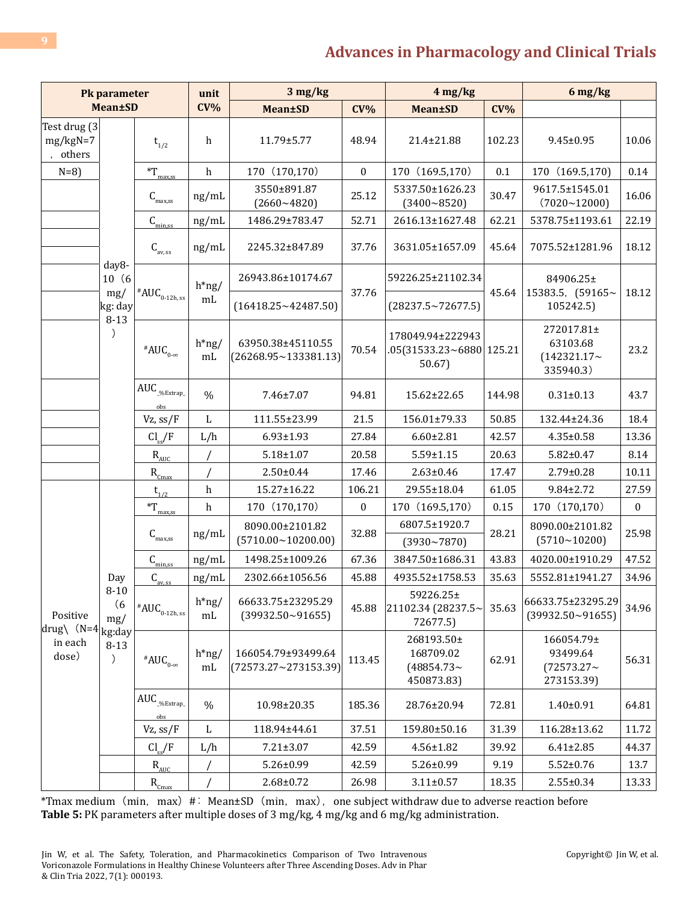| Pk parameter                           |                                                                                                                           |                                                      | unit                      | 3 mg/kg                                             | $4$ mg/kg        |                                                          | $6$ mg/kg |                                                         |                  |
|----------------------------------------|---------------------------------------------------------------------------------------------------------------------------|------------------------------------------------------|---------------------------|-----------------------------------------------------|------------------|----------------------------------------------------------|-----------|---------------------------------------------------------|------------------|
|                                        | <b>Mean±SD</b>                                                                                                            |                                                      | $CV\%$                    | <b>Mean±SD</b>                                      | $CV\%$           | <b>Mean±SD</b>                                           | $CV\%$    |                                                         |                  |
| Test drug (3<br>$mg/kgN=7$<br>, others |                                                                                                                           | $t_{1/2}$                                            | h                         | 11.79±5.77                                          | 48.94            | 21.4±21.88                                               | 102.23    | $9.45 \pm 0.95$                                         | 10.06            |
| $N=8$ )                                |                                                                                                                           | $T_{\frac{\text{max,ss}}{2}}$                        | $\boldsymbol{\textbf{h}}$ | 170 (170,170)                                       | $\boldsymbol{0}$ | 170 (169.5,170)                                          | 0.1       | 170 (169.5,170)                                         | 0.14             |
|                                        |                                                                                                                           | $\textsf{C}_{{}_{\rm max, ss}}$                      | ng/mL                     | 3550±891.87<br>$(2660~-4820)$                       | 25.12            | 5337.50±1626.23<br>$(3400 - 8520)$                       | 30.47     | 9617.5±1545.01<br>$(7020 - 12000)$                      | 16.06            |
|                                        |                                                                                                                           | $\underline{\underline{C}_{\text{min,ss}}}$<br>ng/mL |                           | 1486.29±783.47                                      | 52.71            | 2616.13±1627.48                                          | 62.21     | 5378.75±1193.61                                         | 22.19            |
|                                        |                                                                                                                           | $C_{\text{av, ss}}$                                  | ng/mL                     | 2245.32±847.89                                      | 37.76            | 3631.05±1657.09                                          | 45.64     | 7075.52±1281.96                                         | 18.12            |
|                                        | day8-<br>10(6)<br>mg/                                                                                                     |                                                      | $h*ng/$                   | 26943.86±10174.67                                   | 37.76            | 59226.25±21102.34                                        | 45.64     | 84906.25±<br>15383.5, (59165~                           | 18.12            |
|                                        | kg: day<br>$8 - 13$                                                                                                       | # $\mathsf{AUC}_{_{0\text{-}12\text{h, ss}}}$        | mL                        | (16418.25~12487.50)                                 |                  | $(28237.5 \times 72677.5)$                               |           | 105242.5)                                               |                  |
|                                        | $\lambda$                                                                                                                 | # $AUC_{0-\infty}$                                   | $h*ng/$<br>mL             | 63950.38±45110.55<br>$(26268.95 \times 133381.13)$  | 70.54            | 178049.94±222943<br>.05(31533.23~6880 125.21<br>50.67)   |           | 272017.81±<br>63103.68<br>$(142321.17\sim$<br>335940.3) | 23.2             |
|                                        |                                                                                                                           | $\text{AUC}_{\_\!\%{\text{Extrap}}_{-}}$<br>obs      | $\%$                      | 7.46±7.07                                           | 94.81            | 15.62±22.65                                              | 144.98    | $0.31 \pm 0.13$                                         | 43.7             |
|                                        |                                                                                                                           | Vz, ss/F                                             | $\mathbf L$               | 111.55±23.99                                        | 21.5             | 156.01±79.33                                             | 50.85     | 132.44±24.36                                            | 18.4             |
|                                        |                                                                                                                           | $Cl_{ss}/F$                                          | L/h                       | $6.93 \pm 1.93$                                     | 27.84            | $6.60 \pm 2.81$                                          | 42.57     | $4.35 \pm 0.58$                                         | 13.36            |
|                                        |                                                                                                                           | $\rm R_{\rm AUC}$                                    | $\sqrt{2}$                | $5.18 \pm 1.07$                                     | 20.58            | $5.59 \pm 1.15$                                          | 20.63     | $5.82 \pm 0.47$                                         | 8.14             |
|                                        |                                                                                                                           | $R_{\underline{Cmax}}$                               |                           | $2.50 \pm 0.44$                                     | 17.46            | $2.63 \pm 0.46$                                          | 17.47     | 2.79±0.28                                               | 10.11            |
|                                        |                                                                                                                           | $t_{1/2}$                                            | $\,h$                     | 15.27±16.22                                         | 106.21           | 29.55±18.04                                              | 61.05     | $9.84 \pm 2.72$                                         | 27.59            |
|                                        |                                                                                                                           | $\displaystyle{{}^*\!T_{\!\!_{\text{max,ss}}}$       | $\boldsymbol{\textbf{h}}$ | 170 (170,170)                                       | $\boldsymbol{0}$ | 170 (169.5,170)                                          | 0.15      | 170 (170,170)                                           | $\boldsymbol{0}$ |
|                                        |                                                                                                                           | $\textsf{C}_{\textsf{max,ss}}$                       | ng/mL                     | 8090.00±2101.82<br>(5710.00~10200.00)               | 32.88            | 6807.5±1920.7<br>$(3930 - 7870)$                         | 28.21     | 8090.00±2101.82<br>(5710~10200)                         | 25.98            |
|                                        |                                                                                                                           | $\mathsf{C}_{\min, \text{ss}}$                       | ng/mL                     | 1498.25±1009.26                                     | 67.36            | 3847.50±1686.31                                          | 43.83     | 4020.00±1910.29                                         | 47.52            |
|                                        | Day                                                                                                                       | $\underline{C}_{\text{av, ss}}$                      | ng/mL                     | 2302.66±1056.56                                     | 45.88            | 4935.52±1758.53                                          | 35.63     | 5552.81±1941.27                                         | 34.96            |
| Positive                               | $8 - 10$<br>(6)<br>mg/<br>$\left \text{drug}\right\rangle$ (N=4 $\left \text{kg:day}\right $<br>$8 - 13$<br>$\mathcal{C}$ | # $\mathsf{AUC}_{_{0\text{-}12\text{h, ss}}}$        | $h*ng/$<br>$\rm mL$       | 66633.75±23295.29<br>$(39932.50 \times 91655)$      | 45.88            | 59226.25±<br>$21102.34(28237.5\sim$<br>72677.5)          | 35.63     | 66633.75±23295.29<br>$(39932.50 \times 91655)$          | 34.96            |
| in each<br>dose)                       |                                                                                                                           | $^{\#}AUC_{0-\infty}$                                | $h*ng/$<br>mL             | 166054.79±93499.64<br>$(72573.27 \times 273153.39)$ | 113.45           | 268193.50±<br>168709.02<br>$(48854.73\sim$<br>450873.83) | 62.91     | 166054.79±<br>93499.64<br>$(72573.27\sim$<br>273153.39) | 56.31            |
|                                        |                                                                                                                           | $\text{AUC}_{\text{\%Extrap}_-}$<br>obs              | $\%$                      | 10.98±20.35                                         | 185.36           | 28.76±20.94                                              | 72.81     | $1.40 \pm 0.91$                                         | 64.81            |
|                                        |                                                                                                                           | Vz, ss/F                                             | L                         | 118.94±44.61                                        | 37.51            | 159.80±50.16<br>31.39                                    |           | 116.28±13.62                                            | 11.72            |
|                                        |                                                                                                                           | $Cl_{ss}/F$                                          | L/h                       | $7.21 \pm 3.07$                                     | 42.59            | $4.56 \pm 1.82$                                          | 39.92     | $6.41 \pm 2.85$                                         | 44.37            |
|                                        |                                                                                                                           | $\rm R_{\rm AUC}$                                    | 7                         | $5.26 \pm 0.99$                                     | 42.59            | 5.26±0.99                                                | 9.19      | $5.52 \pm 0.76$                                         | 13.7             |
|                                        |                                                                                                                           | $R_{\underline{Cmax}}$                               | $\prime$                  | $2.68 \pm 0.72$                                     | 26.98            | $3.11 \pm 0.57$                                          | 18.35     | 2.55±0.34                                               | 13.33            |

\*Tmax medium (min, max) #: Mean±SD (min, max), one subject withdraw due to adverse reaction before **Table 5:** PK parameters after multiple doses of 3 mg/kg, 4 mg/kg and 6 mg/kg administration.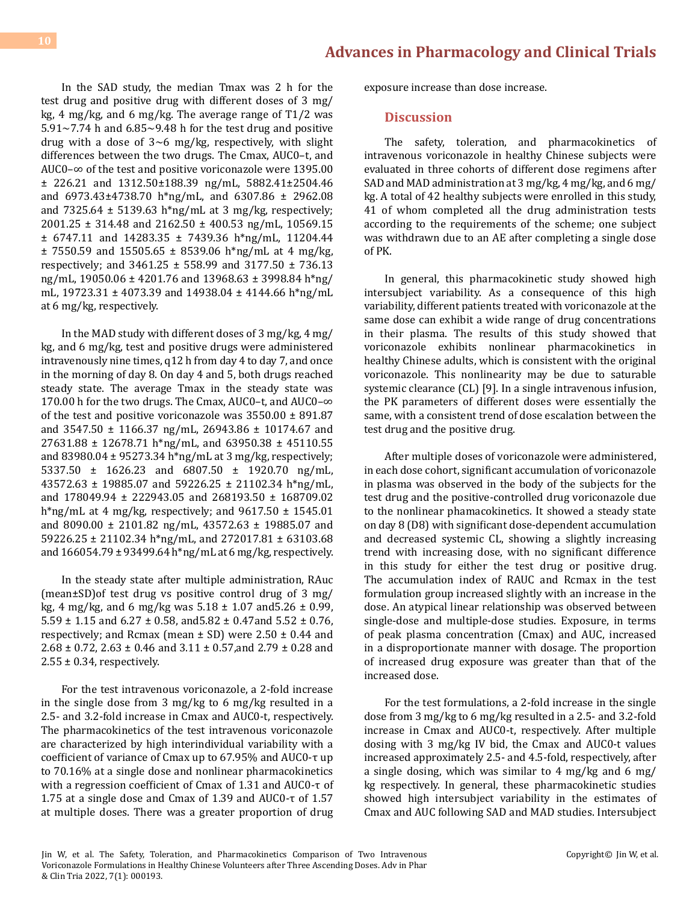In the SAD study, the median Tmax was 2 h for the test drug and positive drug with different doses of 3 mg/ kg, 4 mg/kg, and 6 mg/kg. The average range of T1/2 was  $5.91 \sim 7.74$  h and  $6.85 \sim 9.48$  h for the test drug and positive drug with a dose of  $3~6$  mg/kg, respectively, with slight differences between the two drugs. The Cmax, AUC0–t, and AUC0–∞ of the test and positive voriconazole were 1395.00 ± 226.21 and 1312.50±188.39 ng/mL, 5882.41±2504.46 and 6973.43±4738.70 h\*ng/mL, and 6307.86 ± 2962.08 and 7325.64  $\pm$  5139.63 h\*ng/mL at 3 mg/kg, respectively; 2001.25 ± 314.48 and 2162.50 ± 400.53 ng/mL, 10569.15 ± 6747.11 and 14283.35 ± 7439.36 h\*ng/mL, 11204.44  $± 7550.59$  and 15505.65  $± 8539.06$  h\*ng/mL at 4 mg/kg, respectively; and 3461.25 ± 558.99 and 3177.50 ± 736.13 ng/mL, 19050.06 ± 4201.76 and 13968.63 ± 3998.84 h\*ng/ mL, 19723.31 ± 4073.39 and 14938.04 ± 4144.66 h\*ng/mL at 6 mg/kg, respectively.

In the MAD study with different doses of 3 mg/kg, 4 mg/ kg, and 6 mg/kg, test and positive drugs were administered intravenously nine times, q12 h from day 4 to day 7, and once in the morning of day 8. On day 4 and 5, both drugs reached steady state. The average Tmax in the steady state was 170.00 h for the two drugs. The Cmax, AUC0–t, and AUC0–∞ of the test and positive voriconazole was 3550.00 ± 891.87 and 3547.50 ± 1166.37 ng/mL, 26943.86 ± 10174.67 and 27631.88 ± 12678.71 h\*ng/mL, and 63950.38 ± 45110.55 and 83980.04 ± 95273.34 h\*ng/mL at 3 mg/kg, respectively; 5337.50 ± 1626.23 and 6807.50 ± 1920.70 ng/mL, 43572.63 ± 19885.07 and 59226.25 ± 21102.34 h\*ng/mL, and 178049.94 ± 222943.05 and 268193.50 ± 168709.02 h\*ng/mL at 4 mg/kg, respectively; and  $9617.50 \pm 1545.01$ and 8090.00 ± 2101.82 ng/mL, 43572.63 ± 19885.07 and 59226.25 ± 21102.34 h\*ng/mL, and 272017.81 ± 63103.68 and 166054.79 ± 93499.64 h\*ng/mL at 6 mg/kg, respectively.

In the steady state after multiple administration, RAuc (mean±SD)of test drug vs positive control drug of 3 mg/ kg, 4 mg/kg, and 6 mg/kg was  $5.18 \pm 1.07$  and  $5.26 \pm 0.99$ , 5.59 ± 1.15 and 6.27 ± 0.58, and5.82 ± 0.47and 5.52 ± 0.76, respectively; and Rcmax (mean  $\pm$  SD) were 2.50  $\pm$  0.44 and 2.68 ± 0.72, 2.63 ± 0.46 and 3.11 ± 0.57,and 2.79 ± 0.28 and  $2.55 \pm 0.34$ , respectively.

For the test intravenous voriconazole, a 2-fold increase in the single dose from 3 mg/kg to 6 mg/kg resulted in a 2.5- and 3.2-fold increase in Cmax and AUC0-t, respectively. The pharmacokinetics of the test intravenous voriconazole are characterized by high interindividual variability with a coefficient of variance of Cmax up to 67.95% and AUC0-τ up to 70.16% at a single dose and nonlinear pharmacokinetics with a regression coefficient of Cmax of 1.31 and AUC0-τ of 1.75 at a single dose and Cmax of 1.39 and AUC0-τ of 1.57 at multiple doses. There was a greater proportion of drug exposure increase than dose increase.

#### **Discussion**

The safety, toleration, and pharmacokinetics of intravenous voriconazole in healthy Chinese subjects were evaluated in three cohorts of different dose regimens after SAD and MAD administration at 3 mg/kg, 4 mg/kg, and 6 mg/ kg. A total of 42 healthy subjects were enrolled in this study, 41 of whom completed all the drug administration tests according to the requirements of the scheme; one subject was withdrawn due to an AE after completing a single dose of PK.

In general, this pharmacokinetic study showed high intersubject variability. As a consequence of this high variability, different patients treated with voriconazole at the same dose can exhibit a wide range of drug concentrations in their plasma. The results of this study showed that voriconazole exhibits nonlinear pharmacokinetics in healthy Chinese adults, which is consistent with the original voriconazole. This nonlinearity may be due to saturable systemic clearance (CL) [9]. In a single intravenous infusion, the PK parameters of different doses were essentially the same, with a consistent trend of dose escalation between the test drug and the positive drug.

After multiple doses of voriconazole were administered, in each dose cohort, significant accumulation of voriconazole in plasma was observed in the body of the subjects for the test drug and the positive-controlled drug voriconazole due to the nonlinear phamacokinetics. It showed a steady state on day 8 (D8) with significant dose-dependent accumulation and decreased systemic CL, showing a slightly increasing trend with increasing dose, with no significant difference in this study for either the test drug or positive drug. The accumulation index of RAUC and Rcmax in the test formulation group increased slightly with an increase in the dose. An atypical linear relationship was observed between single-dose and multiple-dose studies. Exposure, in terms of peak plasma concentration (Cmax) and AUC, increased in a disproportionate manner with dosage. The proportion of increased drug exposure was greater than that of the increased dose.

For the test formulations, a 2-fold increase in the single dose from 3 mg/kg to 6 mg/kg resulted in a 2.5- and 3.2-fold increase in Cmax and AUC0-t, respectively. After multiple dosing with 3 mg/kg IV bid, the Cmax and AUC0-t values increased approximately 2.5- and 4.5-fold, respectively, after a single dosing, which was similar to 4 mg/kg and 6 mg/ kg respectively. In general, these pharmacokinetic studies showed high intersubject variability in the estimates of Cmax and AUC following SAD and MAD studies. Intersubject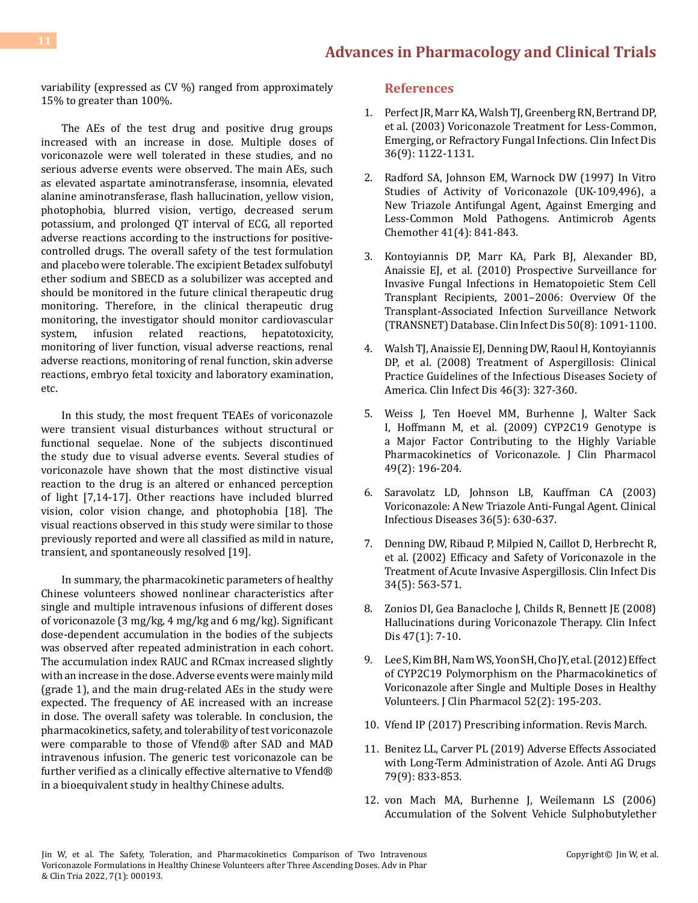variability (expressed as CV %) ranged from approximately 15% to greater than 100%.

The AEs of the test drug and positive drug groups increased with an increase in dose. Multiple doses of voriconazole were well tolerated in these studies, and no serious adverse events were observed. The main AEs, such as elevated aspartate aminotransferase, insomnia, elevated alanine aminotransferase, flash hallucination, yellow vision, photophobia, blurred vision, vertigo, decreased serum potassium, and prolonged QT interval of ECG, all reported adverse reactions according to the instructions for positivecontrolled drugs. The overall safety of the test formulation and placebo were tolerable. The excipient Betadex sulfobutyl ether sodium and SBECD as a solubilizer was accepted and should be monitored in the future clinical therapeutic drug monitoring. Therefore, in the clinical therapeutic drug monitoring, the investigator should monitor cardiovascular<br>system, infusion related reactions, hepatotoxicity, infusion related reactions, monitoring of liver function, visual adverse reactions, renal adverse reactions, monitoring of renal function, skin adverse reactions, embryo fetal toxicity and laboratory examination, etc.

In this study, the most frequent TEAEs of voriconazole were transient visual disturbances without structural or functional sequelae. None of the subjects discontinued the study due to visual adverse events. Several studies of voriconazole have shown that the most distinctive visual reaction to the drug is an altered or enhanced perception of light [7,14-17]. Other reactions have included blurred vision, color vision change, and photophobia [18]. The visual reactions observed in this study were similar to those previously reported and were all classified as mild in nature, transient, and spontaneously resolved [19].

In summary, the pharmacokinetic parameters of healthy Chinese volunteers showed nonlinear characteristics after single and multiple intravenous infusions of different doses of voriconazole (3 mg/kg, 4 mg/kg and 6 mg/kg). Significant dose-dependent accumulation in the bodies of the subjects was observed after repeated administration in each cohort. The accumulation index RAUC and RCmax increased slightly with an increase in the dose. Adverse events were mainly mild (grade 1), and the main drug-related AEs in the study were expected. The frequency of AE increased with an increase in dose. The overall safety was tolerable. In conclusion, the pharmacokinetics, safety, and tolerability of test voriconazole were comparable to those of Vfend® after SAD and MAD intravenous infusion. The generic test voriconazole can be further verified as a clinically effective alternative to Vfend® in a bioequivalent study in healthy Chinese adults.

#### **References**

- 1. [Perfect JR, Marr KA, Walsh TJ, Greenberg RN, Bertrand DP,](https://pubmed.ncbi.nlm.nih.gov/12715306/)  [et al. \(2003\) Voriconazole Treatment for Less-Common,](https://pubmed.ncbi.nlm.nih.gov/12715306/) [Emerging, or Refractory Fungal Infections. Clin Infect Dis](https://pubmed.ncbi.nlm.nih.gov/12715306/) [36\(9\): 1122-1131.](https://pubmed.ncbi.nlm.nih.gov/12715306/)
- 2. [Radford SA, Johnson EM, Warnock DW \(1997\) In Vitro](https://pubmed.ncbi.nlm.nih.gov/9087501/)  [Studies of Activity of Voriconazole \(UK-109,496\), a](https://pubmed.ncbi.nlm.nih.gov/9087501/)  [New Triazole Antifungal Agent, Against Emerging and](https://pubmed.ncbi.nlm.nih.gov/9087501/)  [Less-Common Mold Pathogens. Antimicrob Agents](https://pubmed.ncbi.nlm.nih.gov/9087501/) [Chemother 41\(4\): 841-843.](https://pubmed.ncbi.nlm.nih.gov/9087501/)
- 3. [Kontoyiannis DP, Marr KA, Park BJ, Alexander BD,](https://pubmed.ncbi.nlm.nih.gov/20218877/) [Anaissie EJ, et al. \(2010\) Prospective Surveillance for](https://pubmed.ncbi.nlm.nih.gov/20218877/) [Invasive Fungal Infections in Hematopoietic Stem Cell](https://pubmed.ncbi.nlm.nih.gov/20218877/)  [Transplant Recipients, 2001–2006: Overview Of the](https://pubmed.ncbi.nlm.nih.gov/20218877/) [Transplant-Associated Infection Surveillance Network](https://pubmed.ncbi.nlm.nih.gov/20218877/)  [\(TRANSNET\) Database. Clin Infect Dis 50\(8\): 1091-1100.](https://pubmed.ncbi.nlm.nih.gov/20218877/)
- 4. [Walsh TJ, Anaissie EJ, Denning DW, Raoul H, Kontoyiannis](https://pubmed.ncbi.nlm.nih.gov/18177225/)  [DP, et al. \(2008\) Treatment of Aspergillosis: Clinical](https://pubmed.ncbi.nlm.nih.gov/18177225/)  [Practice Guidelines of the Infectious Diseases Society of](https://pubmed.ncbi.nlm.nih.gov/18177225/) [America. Clin Infect Dis 46\(3\): 327-360.](https://pubmed.ncbi.nlm.nih.gov/18177225/)
- 5. [Weiss J, Ten Hoevel MM, Burhenne J, Walter Sack](https://pubmed.ncbi.nlm.nih.gov/19033450/)  [I, Hoffmann M, et al. \(2009\) CYP2C19 Genotype is](https://pubmed.ncbi.nlm.nih.gov/19033450/) [a Major Factor Contributing to the Highly Variable](https://pubmed.ncbi.nlm.nih.gov/19033450/)  [Pharmacokinetics of Voriconazole. J Clin Pharmacol](https://pubmed.ncbi.nlm.nih.gov/19033450/) [49\(2\): 196-204.](https://pubmed.ncbi.nlm.nih.gov/19033450/)
- 6. [Saravolatz LD, Johnson LB, Kauffman CA \(2003\)](https://academic.oup.com/cid/article/36/5/630/454409) [Voriconazole: A New Triazole Anti-Fungal Agent. Clinical](https://academic.oup.com/cid/article/36/5/630/454409)  [Infectious Diseases 36\(5\): 630-637.](https://academic.oup.com/cid/article/36/5/630/454409)
- 7. [Denning DW, Ribaud P, Milpied N, Caillot D, Herbrecht R,](https://pubmed.ncbi.nlm.nih.gov/11807679/)  [et al. \(2002\) Efficacy and Safety of Voriconazole in the](https://pubmed.ncbi.nlm.nih.gov/11807679/) [Treatment of Acute Invasive Aspergillosis. Clin Infect Dis](https://pubmed.ncbi.nlm.nih.gov/11807679/) [34\(5\): 563-571.](https://pubmed.ncbi.nlm.nih.gov/11807679/)
- 8. [Zonios DI, Gea Banacloche J, Childs R, Bennett JE \(2008\)](https://www.ncbi.nlm.nih.gov/labs/pmc/articles/PMC2727751/) [Hallucinations during Voriconazole Therapy. Clin Infect](https://www.ncbi.nlm.nih.gov/labs/pmc/articles/PMC2727751/) [Dis 47\(1\): 7-10.](https://www.ncbi.nlm.nih.gov/labs/pmc/articles/PMC2727751/)
- 9. [Lee S, Kim BH, Nam WS, Yoon SH, Cho JY, et al. \(2012\) Effect](https://pubmed.ncbi.nlm.nih.gov/21383338/) [of CYP2C19 Polymorphism on the Pharmacokinetics of](https://pubmed.ncbi.nlm.nih.gov/21383338/) [Voriconazole after Single and Multiple Doses in Healthy](https://pubmed.ncbi.nlm.nih.gov/21383338/)  [Volunteers. J Clin Pharmacol 52\(2\): 195-203.](https://pubmed.ncbi.nlm.nih.gov/21383338/)
- 10. Vfend IP (2017) Prescribing information. Revis March.
- 11. [Benitez LL, Carver PL \(2019\) Adverse Effects Associated](https://pubmed.ncbi.nlm.nih.gov/31093949/) [with Long-Term Administration of Azole. Anti AG Drugs](https://pubmed.ncbi.nlm.nih.gov/31093949/) [79\(9\): 833-853.](https://pubmed.ncbi.nlm.nih.gov/31093949/)
- 12. [von Mach MA, Burhenne J, Weilemann LS \(2006\)](https://www.ncbi.nlm.nih.gov/labs/pmc/articles/PMC1592308/) [Accumulation of the Solvent Vehicle Sulphobutylether](https://www.ncbi.nlm.nih.gov/labs/pmc/articles/PMC1592308/)